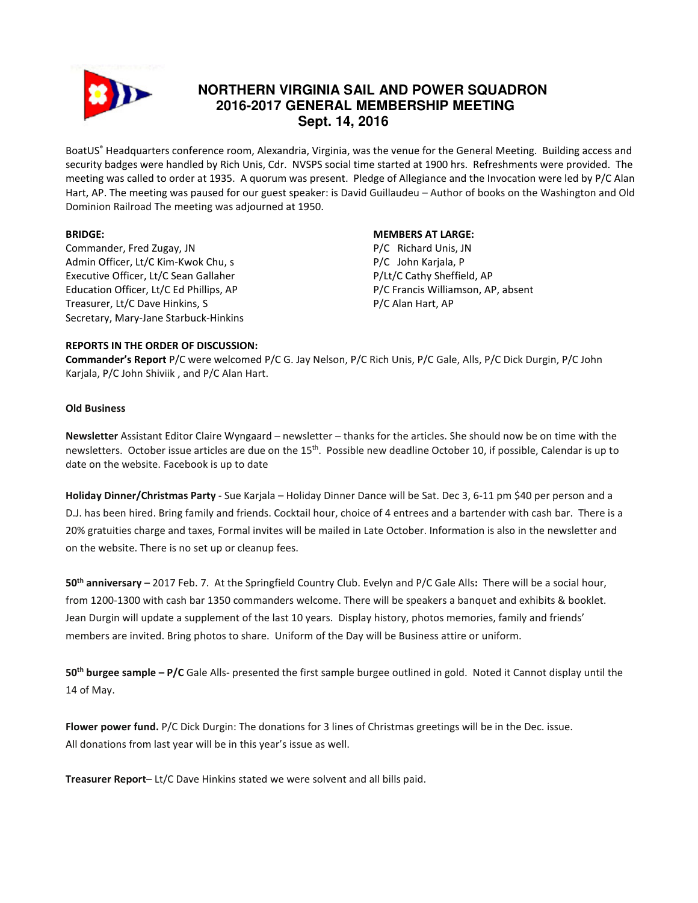

# **NORTHERN VIRGINIA SAIL AND POWER SQUADRON 2016-2017 GENERAL MEMBERSHIP MEETING Sept. 14, 2016**

BoatUS® Headquarters conference room, Alexandria, Virginia, was the venue for the General Meeting. Building access and security badges were handled by Rich Unis, Cdr. NVSPS social time started at 1900 hrs. Refreshments were provided. The meeting was called to order at 1935. A quorum was present. Pledge of Allegiance and the Invocation were led by P/C Alan Hart, AP. The meeting was paused for our guest speaker: is David Guillaudeu – Author of books on the Washington and Old Dominion Railroad The meeting was adjourned at 1950.

#### BRIDGE:

Commander, Fred Zugay, JN Admin Officer, Lt/C Kim-Kwok Chu, s Executive Officer, Lt/C Sean Gallaher Education Officer, Lt/C Ed Phillips, AP Treasurer, Lt/C Dave Hinkins, S Secretary, Mary-Jane Starbuck-Hinkins

## MEMBERS AT LARGE:

P/C Richard Unis, JN P/C John Karjala, P P/Lt/C Cathy Sheffield, AP P/C Francis Williamson, AP, absent P/C Alan Hart, AP

#### REPORTS IN THE ORDER OF DISCUSSION:

Commander's Report P/C were welcomed P/C G. Jay Nelson, P/C Rich Unis, P/C Gale, Alls, P/C Dick Durgin, P/C John Karjala, P/C John Shiviik , and P/C Alan Hart.

#### Old Business

Newsletter Assistant Editor Claire Wyngaard – newsletter – thanks for the articles. She should now be on time with the newsletters. October issue articles are due on the 15<sup>th</sup>. Possible new deadline October 10, if possible, Calendar is up to date on the website. Facebook is up to date

Holiday Dinner/Christmas Party - Sue Karjala – Holiday Dinner Dance will be Sat. Dec 3, 6-11 pm \$40 per person and a D.J. has been hired. Bring family and friends. Cocktail hour, choice of 4 entrees and a bartender with cash bar. There is a 20% gratuities charge and taxes, Formal invites will be mailed in Late October. Information is also in the newsletter and on the website. There is no set up or cleanup fees.

50<sup>th</sup> anniversary – 2017 Feb. 7. At the Springfield Country Club. Evelyn and P/C Gale Alls: There will be a social hour, from 1200-1300 with cash bar 1350 commanders welcome. There will be speakers a banquet and exhibits & booklet. Jean Durgin will update a supplement of the last 10 years. Display history, photos memories, family and friends' members are invited. Bring photos to share. Uniform of the Day will be Business attire or uniform.

 $50<sup>th</sup>$  burgee sample – P/C Gale Alls- presented the first sample burgee outlined in gold. Noted it Cannot display until the 14 of May.

Flower power fund. P/C Dick Durgin: The donations for 3 lines of Christmas greetings will be in the Dec. issue. All donations from last year will be in this year's issue as well.

Treasurer Report– Lt/C Dave Hinkins stated we were solvent and all bills paid.